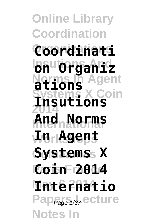**Online Library Coordination Organizations Coordinati Insutions And on Organiz Norms In Agent ations Systems X Coin 2014 Insutions International And Norms Workshops In Agent Coinaamas Systems X Paris France Coin 2014 May 6 2014 Internatio** Pap<sub>Page 1/37</sub> ecture **Notes In**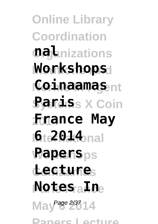**Online Library Coordination Organizations nal Insutions And Workshops Coinaamas**nt **Systems X Coin Paris 2014 France May I6te2014** bnal **Rapers**ps **Coinaamas Lecture Paris France Notes In** May <sup>Page 2/37</sup> 14 **Papers Lecture**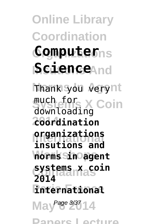**Online Library Coordination Organizations Computer Science**And **Thank you verynt Systems X Coin** much for **2014 coordination International organizations norms sin agent Coinaamas systems x coin Paris France international**May <sup>Page 3/37</sup>14 downloading **insutions and 2014**

**Papers Lecture**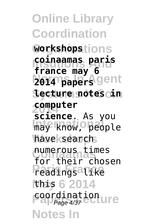**Online Library Coordination Organizations workshops Insutions And coinaamas paris 2014 papers** gent **Systems X Coin lecture notes in 2014 computer** may know, people have search numerous times<br>for their chosen **Preadings** like **May 6 2014** this **Page 4/37 COOLDING Notes In france may 6 science**. As you numerous times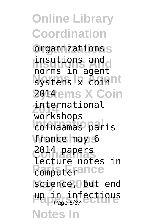**Online Library Coordination Organizations** organizations **Insutions And** norms in agent **Systems & coinnt 2014ems X Coin 2014** international **International** coinaamas paris **Workshops** france may 6 **Coinaamas** 2014 papers **Proposition** science, Obut end up in infectious<br>Page 5/37 **Notes In** insutions and workshops lecture notes in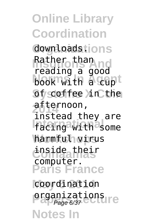**Online Library Coordination Organizations** downloads. **Rather than<br>Rather than not** book with a cupt **Of coffee in Cthe 2014** afternoon, **International** facing with some **Workshops** harmful virus **Coinaamas** inside their **Paris France** coordination reading a good instead they are computer.

**prganizations Notes In**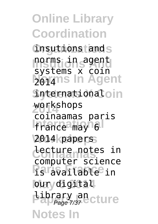**Online Library Coordination Organizations** insutions and **Inorms** *An*<sub>s</sub> agent **Norms In Agent Sytemationaloin 2014** workshops **International** 2014 papers **Coinaamas** lecture notes in **Paris France** is available in **loury** digital **Library and Cture Notes In** norms in agent systems x coin 2014 coinaamas paris computer science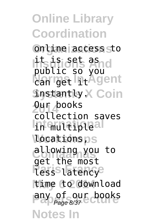**Online Library Coordination Organizations** online access to lits is i set asnd **Norms In Agent Systantly X Coin 2014** Our books **International** locationsps **Coinaamas** allowing you to **Paris France** time to download any of our books **Notes In** public so you collection saves get the most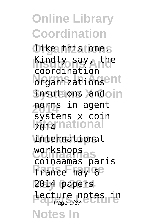**Online Library Coordination Organizations** like this one. **Kindly say, the organizationsent Sysutions ) and oin 2014** norms in agent **Izonational international** workshops **Paris France** france may 6 **May 6 2014** 2014 papers **Lecture** notes in **Notes In** coordination systems x coin coinaamas paris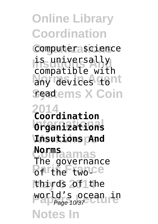## **Online Library Coordination**

**Organizations** computer science is universally<br> **Compatible** vitt any devices tont **Seadems X Coin** compatible with

**2014 Coordination International Organizations Workshops Insutions And Norms**<br>The governance **Parthe two-ce May 6 2014** thirds of the **World's ocean in**<br>Page 10/37 **Notes In Norms**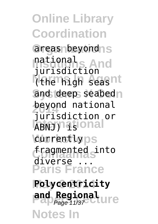**Online Library Coordination** areas beyond <sub>S</sub> national<sub>s</sub><br>jurisdiction I the high seasnt and deep seabed<sub>n</sub> **beyond national IABNJ**) **is a serious currently**ps **Coinaamas** fragmented into **Paris France May 6 2014 Polycentricity** national jurisdiction or diverse

**and Regional** ure **Notes In**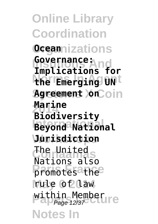**Online Library Coordination Organizations Ocean Insutions And Implications for the Emerging UN Agreement XnCoin 2014 Biodiversity International Beyond National Workshops Jurisdiction Coinaamas** The United **Paris France** promotes the **May 6 2014** rule of law **Within Member**<br>Page 12/37 **Notes In Governance: Marine** Nations also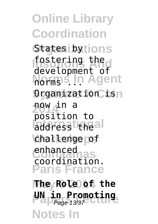**Online Library Coordination** States by tions **Insutions And** development of **Norms In Agent** Organization isn **2014** now in a address the al challenge of enhanced<br>
enhanced<br>
assembly **Paris France** fostering the position to coordination.

**May 6 2014 The Role of the UN in Promoting Notes In**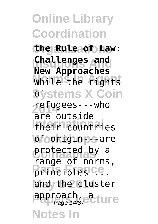## **Online Library Coordination**

**Organizations the Rule of Law: Challenges and** While the rights **Stystems X Coin New Approaches**

**2014** refugees---who **International** their countries **\of**ookigin-psare protected by a **Principles** ce. and the cluster approach, a ture are outside range of norms,

**Notes In**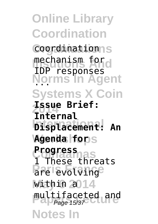**Online Library Coordination** coordination<sub>S</sub> mechanism for<br>The meshenses **Norms In Agent** ... **Systems X Coin 2014 Issue Brief: International Displacement: An Agenda fops Progress<br>1 These threats Pare levolvinge** within 2014 multifaceted and **Notes In** IDP responses **Internal Progress**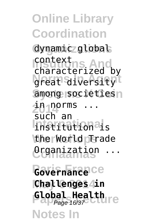**Online Library Coordination** dynamic global context<br>characterized by great diversityt among societies n *i***n norms** ... **Internationals Workshops** the World Trade **Coinaamas** Organization ... Governance<sup>ce</sup> **May 6 2014 Challenges in Global Health** context such an Page 16/37

**Notes In**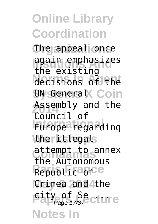## **Online Library Coordination**

**The appeal once Insutions And** again emphasizes decisions of the **Sy General X Coin** Assembly and the **Europe** regarding \theritlegals **Coinaamas** attempt to annex Republic<sup>a</sup>of<sup>ce</sup> Crimea and the **Page 17/37 CLUTE Notes In** the existing Council of the Autonomous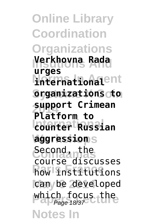**Online Library Coordination Organizations Insutions And Verkhovna Rada Norms In Agent international Systems X Coin organizations to 2014 support Crimean International counter Russian Workshops aggression Coinaamas** Second, the **Row institutions** can be developed which focus the **Notes In urges Platform to** course discusses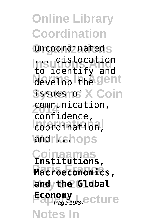**Online Library Coordination** uncoordinateds **Insudislocation** develop Fine gent **Sysues roof X Coin 2014** communication, coordination, **and**rkshops **Coinaamas Institutions, Paris France Macroeconomics,** and the Global **Economy**<br>Page 19/3<del>7</del> Cture **Notes In** to identify and confidence,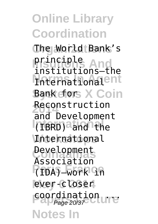## **Online Library Coordination**

**Organizations** The World Bank's **Insutions And** principle International<sup>ent</sup> **Bank fors X Coin Reconstruction International** (IBRD) and the **International** Development **Paris France** (IDA)—work in **May 6 2014** ever-closer **Page 20/37**<br>Page 20/37 **Notes In** institutions—the and Development Association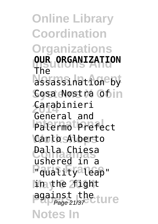**Online Library Coordination Organizations OUR ORGANIZATION Norms In Agent** assassination by Cosa Nostra Ofin **2014** Carabinieri **International** Palermo Prefect **Workshops** Carlo Alberto **Coinaamas** Dalla Chiesa **Pauality** leap" **May 6 2014** in the fight against the **Lure Notes In** The General and ushered in a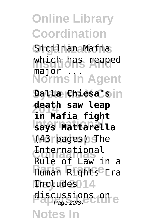**Online Library Coordination Organizations** Sicilian Mafia which has reaped **Norms In Agent Systems X Coin Dalla Chiesa's 2014 in Mafia fight International says Mattarella Workshops** (43 pages) The **Coinaamas** Rule of Law in a **Paris France** Human Rights Era Includes<sub>014</sub> discussions on e **Notes In** major. **death saw leap** International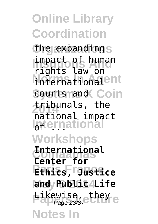**Online Library Coordination** the expandings **impact of human** international<sup>ent</sup> Sourts rand Coin **2014** tribunals, the **International Workshops Coinaamas Center for Paris France Ethics, Justice May 6 2014 and Public Life Likewise, they**<br>Page 23/37 Liter **Notes In** rights law on national impact **International**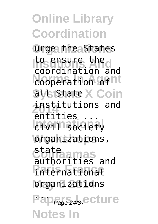**Online Library Coordination Organizations** urge the States to ensure the cooperation of nt **Says State X Coin 2014** institutions and *<u>International</u>* **organizations**, **Coinaamas** authorities and **Paris France** international **May 6 2014** organizations Pap<sub>Page 24/37</sub> ecture **Notes In** coordination and entities ... state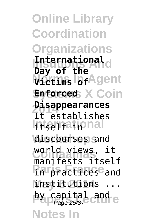**Online Library Coordination Organizations Insutions And International Wictims In Agent Systems X Coin Enforced 2014 Disappearances International** discourses and **Coinaamas** world views, it **Paris France** in practices and **May 6 2014** institutions ... by capital and e **Notes In Day of the** It establishes manifests itself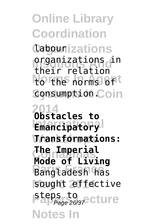**Online Library Coordination Organizations** labour **Organizations** in **Northe norms of the Consumption Coin 2014 Obstacles to Emancipatory Workshops Transformations: Coinaamas The Imperial Paris France** Bangladesh has sought effective steps to<br>Page 26/37 Cture **Notes In** their relation **Mode of Living**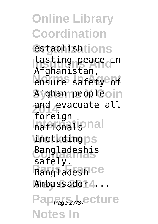**Online Library Coordination** establishtions lasting peace in ensure safety<sup>e</sup>of **Systems X Coin** Afghan people and evacuate all **International \including**ps **Coinaamas** Bangladeshis Bangladesh Ce Ambassador4... Pap<sub>Page 27/37</sub>e cture **Notes In** Afghanistan, foreign safely.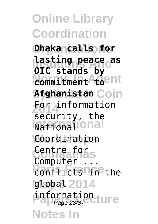**Online Library Coordination Organizations Dhaka calls for Insutions And lasting peace as Commitment Commitment Systems X Coin Afghanistan 2014** For information **National** Coordination **Coinaamas** Centre for **Ponflicts Line** the global 2014 **information**<br>Page 28/37 **Notes In OIC stands by** security, the **Computer**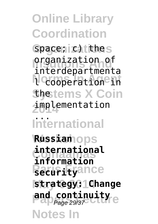**Online Library Coordination** space; c) thes **Organization** of **Normalistics Shetems X Coin 2014** implementation **International Russian**ops **Coinaamas information Pacurityance May 6 2014 strategy: Change and continuity Notes In** interdepartmenta ... **international**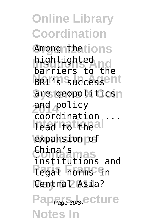**Online Library Coordination** Among<sub>nthetions</sub> highlighted<br>harriers to 18 **BRI's successent** are geopolitics<sup>n</sup> **2014** and policy **Itead to theal** expansion of China's<br>Colliannas **Paris France** legal norms in Central Asia? Pap<sub>Page</sub> 30/37 cture **Notes In** barriers to the coordination ... institutions and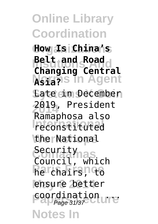**Online Library Coordination Organizations How Is China's Insutions And Belt and Road Norms In Agent Asia? Eate cim December 2014** 2019, President **International Workshops** the National Security<sub>nas</sub> **Religions May 6 2014** ensure better **Page 31/37**<br>Page 31/37 **Notes In Changing Central** Ramaphosa also Council, which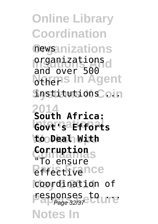**Online Library Coordination Organizations** news **Organizations Norms** In Agent  $S$ nstitutions *Coin* **2014 South Africa: International Govt's Efforts Workshops to Deal With Corruption Prifectivence** coordination of responses to ure **Notes In** and over 500 "To ensure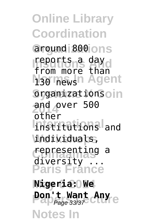**Online Library Coordination** around 800 ons reports a day<br>from more than **N<sub>30</sub> mews<sup>n</sup> Agent Syganizations** oin **2014** and over 500 Institutions and **Workshops** individuals, representing<br>diversity ... **Paris France May 6 2014 Nigeria: We Pon't Want Any e Notes In** from more than other representing a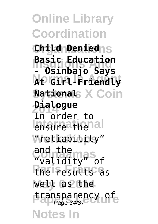**Online Library Coordination Organizations Child Denied Insutions And - Osinbajo Says Norms In Agent At Girl-Friendly Systems X Coin National 2014 Dialogue** *<u>Enforce</u>* then al **Workshops** "reliability" **Coinaamas** "validity" of **Paris France** the results as **May 6 2014** well as the transparency of **Notes In Basic Education** In order to and the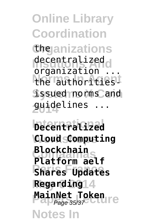**Online Library Coordination Organizations** the decentralized<br>
arganization **Norms In Agent** the authorities-**Systems X Coin** issued norms and **2014** guidelines ... organization

**International Decentralized Workshops Cloud Computing Coinaamas Platform aelf Paris France Shares Updates May 6 2014 Regarding MainNet Token Notes In Blockchain** Page 35/37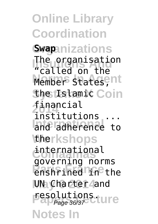**Online Library Coordination Organizations Swap** The organisation<br>"Salled an the Member<sup>s</sup> states, nt *ShetIslamic Coin* **2014** financial **International** and adherence to **therkshops Coinaamas** governing norms **Parish France UN** Charter and **Page 36/37 Lure Notes In** "called on the institutions ... international